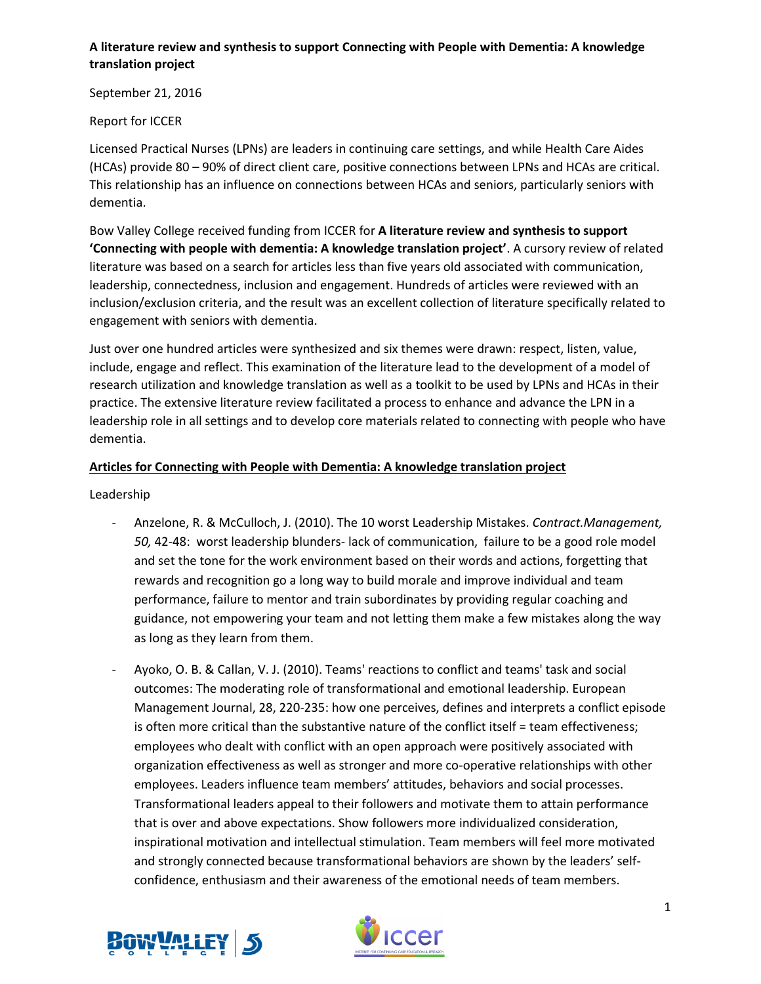September 21, 2016

Report for ICCER

Licensed Practical Nurses (LPNs) are leaders in continuing care settings, and while Health Care Aides (HCAs) provide 80 – 90% of direct client care, positive connections between LPNs and HCAs are critical. This relationship has an influence on connections between HCAs and seniors, particularly seniors with dementia.

Bow Valley College received funding from ICCER for **A literature review and synthesis to support 'Connecting with people with dementia: A knowledge translation project'**. A cursory review of related literature was based on a search for articles less than five years old associated with communication, leadership, connectedness, inclusion and engagement. Hundreds of articles were reviewed with an inclusion/exclusion criteria, and the result was an excellent collection of literature specifically related to engagement with seniors with dementia.

Just over one hundred articles were synthesized and six themes were drawn: respect, listen, value, include, engage and reflect. This examination of the literature lead to the development of a model of research utilization and knowledge translation as well as a toolkit to be used by LPNs and HCAs in their practice. The extensive literature review facilitated a process to enhance and advance the LPN in a leadership role in all settings and to develop core materials related to connecting with people who have dementia.

# **Articles for Connecting with People with Dementia: A knowledge translation project**

Leadership

- Anzelone, R. & McCulloch, J. (2010). The 10 worst Leadership Mistakes. *Contract.Management, 50,* 42-48: worst leadership blunders- lack of communication, failure to be a good role model and set the tone for the work environment based on their words and actions, forgetting that rewards and recognition go a long way to build morale and improve individual and team performance, failure to mentor and train subordinates by providing regular coaching and guidance, not empowering your team and not letting them make a few mistakes along the way as long as they learn from them.
- Ayoko, O. B. & Callan, V. J. (2010). Teams' reactions to conflict and teams' task and social outcomes: The moderating role of transformational and emotional leadership. European Management Journal, 28, 220-235: how one perceives, defines and interprets a conflict episode is often more critical than the substantive nature of the conflict itself = team effectiveness; employees who dealt with conflict with an open approach were positively associated with organization effectiveness as well as stronger and more co-operative relationships with other employees. Leaders influence team members' attitudes, behaviors and social processes. Transformational leaders appeal to their followers and motivate them to attain performance that is over and above expectations. Show followers more individualized consideration, inspirational motivation and intellectual stimulation. Team members will feel more motivated and strongly connected because transformational behaviors are shown by the leaders' selfconfidence, enthusiasm and their awareness of the emotional needs of team members.



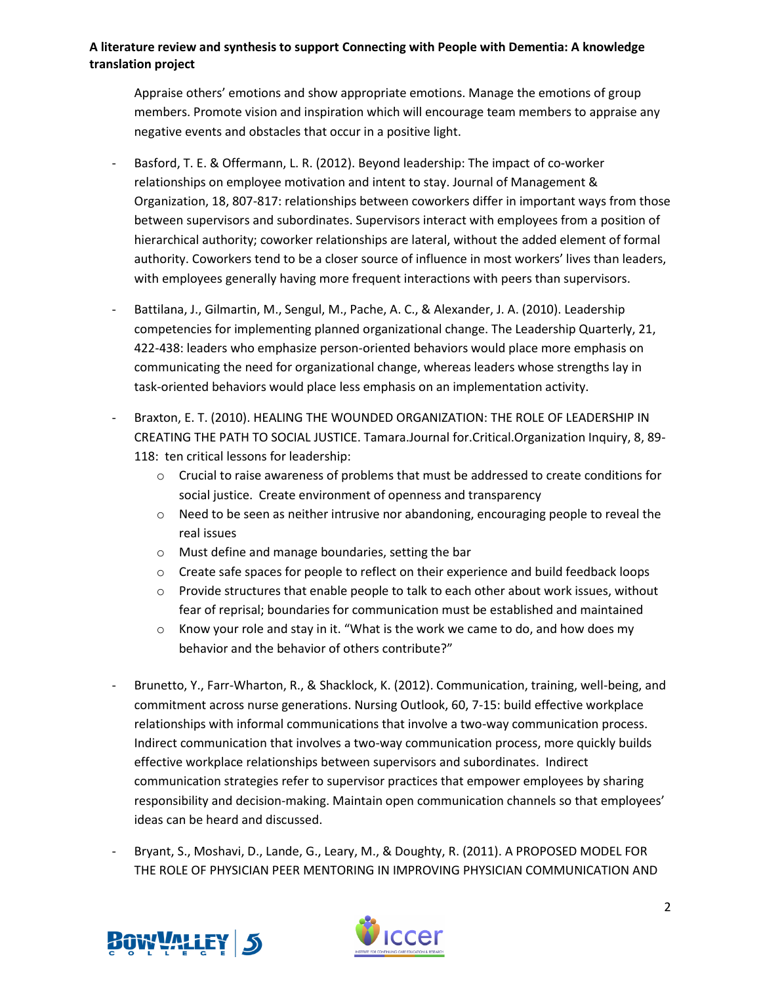Appraise others' emotions and show appropriate emotions. Manage the emotions of group members. Promote vision and inspiration which will encourage team members to appraise any negative events and obstacles that occur in a positive light.

- Basford, T. E. & Offermann, L. R. (2012). Beyond leadership: The impact of co-worker relationships on employee motivation and intent to stay. Journal of Management & Organization, 18, 807-817: relationships between coworkers differ in important ways from those between supervisors and subordinates. Supervisors interact with employees from a position of hierarchical authority; coworker relationships are lateral, without the added element of formal authority. Coworkers tend to be a closer source of influence in most workers' lives than leaders, with employees generally having more frequent interactions with peers than supervisors.
- Battilana, J., Gilmartin, M., Sengul, M., Pache, A. C., & Alexander, J. A. (2010). Leadership competencies for implementing planned organizational change. The Leadership Quarterly, 21, 422-438: leaders who emphasize person-oriented behaviors would place more emphasis on communicating the need for organizational change, whereas leaders whose strengths lay in task-oriented behaviors would place less emphasis on an implementation activity.
- Braxton, E. T. (2010). HEALING THE WOUNDED ORGANIZATION: THE ROLE OF LEADERSHIP IN CREATING THE PATH TO SOCIAL JUSTICE. Tamara.Journal for.Critical.Organization Inquiry, 8, 89- 118: ten critical lessons for leadership:
	- $\circ$  Crucial to raise awareness of problems that must be addressed to create conditions for social justice. Create environment of openness and transparency
	- $\circ$  Need to be seen as neither intrusive nor abandoning, encouraging people to reveal the real issues
	- o Must define and manage boundaries, setting the bar
	- o Create safe spaces for people to reflect on their experience and build feedback loops
	- $\circ$  Provide structures that enable people to talk to each other about work issues, without fear of reprisal; boundaries for communication must be established and maintained
	- $\circ$  Know your role and stay in it. "What is the work we came to do, and how does my behavior and the behavior of others contribute?"
- Brunetto, Y., Farr-Wharton, R., & Shacklock, K. (2012). Communication, training, well-being, and commitment across nurse generations. Nursing Outlook, 60, 7-15: build effective workplace relationships with informal communications that involve a two-way communication process. Indirect communication that involves a two-way communication process, more quickly builds effective workplace relationships between supervisors and subordinates. Indirect communication strategies refer to supervisor practices that empower employees by sharing responsibility and decision-making. Maintain open communication channels so that employees' ideas can be heard and discussed.
- Bryant, S., Moshavi, D., Lande, G., Leary, M., & Doughty, R. (2011). A PROPOSED MODEL FOR THE ROLE OF PHYSICIAN PEER MENTORING IN IMPROVING PHYSICIAN COMMUNICATION AND



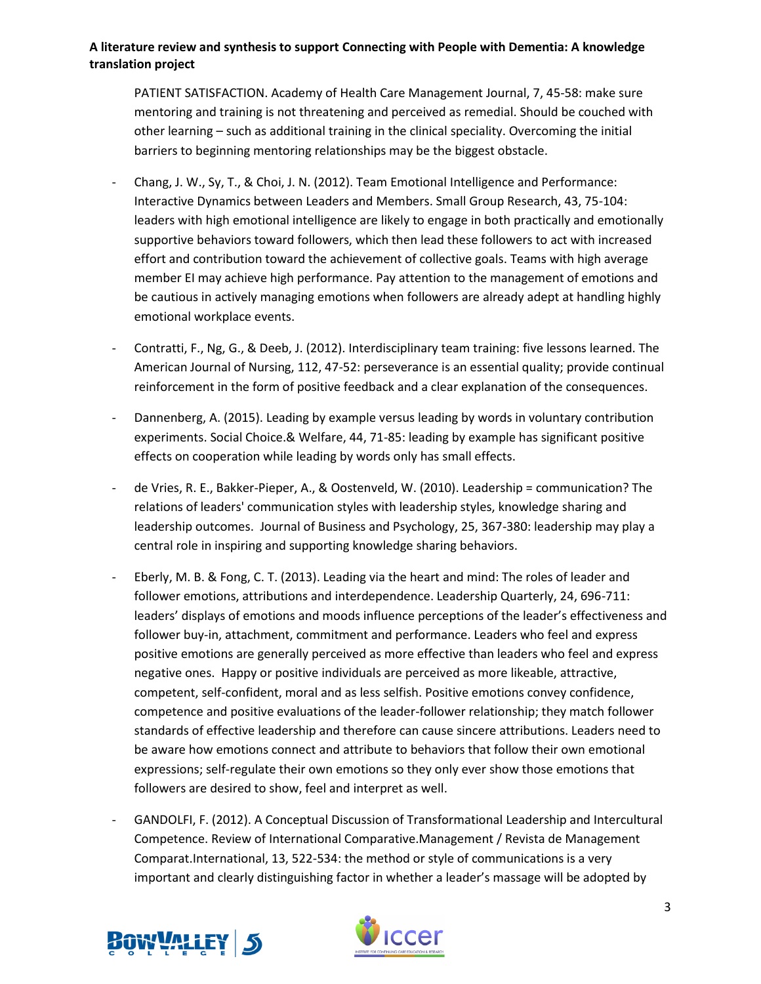PATIENT SATISFACTION. Academy of Health Care Management Journal, 7, 45-58: make sure mentoring and training is not threatening and perceived as remedial. Should be couched with other learning – such as additional training in the clinical speciality. Overcoming the initial barriers to beginning mentoring relationships may be the biggest obstacle.

- Chang, J. W., Sy, T., & Choi, J. N. (2012). Team Emotional Intelligence and Performance: Interactive Dynamics between Leaders and Members. Small Group Research, 43, 75-104: leaders with high emotional intelligence are likely to engage in both practically and emotionally supportive behaviors toward followers, which then lead these followers to act with increased effort and contribution toward the achievement of collective goals. Teams with high average member EI may achieve high performance. Pay attention to the management of emotions and be cautious in actively managing emotions when followers are already adept at handling highly emotional workplace events.
- Contratti, F., Ng, G., & Deeb, J. (2012). Interdisciplinary team training: five lessons learned. The American Journal of Nursing, 112, 47-52: perseverance is an essential quality; provide continual reinforcement in the form of positive feedback and a clear explanation of the consequences.
- Dannenberg, A. (2015). Leading by example versus leading by words in voluntary contribution experiments. Social Choice.& Welfare, 44, 71-85: leading by example has significant positive effects on cooperation while leading by words only has small effects.
- de Vries, R. E., Bakker-Pieper, A., & Oostenveld, W. (2010). Leadership = communication? The relations of leaders' communication styles with leadership styles, knowledge sharing and leadership outcomes. Journal of Business and Psychology, 25, 367-380: leadership may play a central role in inspiring and supporting knowledge sharing behaviors.
- Eberly, M. B. & Fong, C. T. (2013). Leading via the heart and mind: The roles of leader and follower emotions, attributions and interdependence. Leadership Quarterly, 24, 696-711: leaders' displays of emotions and moods influence perceptions of the leader's effectiveness and follower buy-in, attachment, commitment and performance. Leaders who feel and express positive emotions are generally perceived as more effective than leaders who feel and express negative ones. Happy or positive individuals are perceived as more likeable, attractive, competent, self-confident, moral and as less selfish. Positive emotions convey confidence, competence and positive evaluations of the leader-follower relationship; they match follower standards of effective leadership and therefore can cause sincere attributions. Leaders need to be aware how emotions connect and attribute to behaviors that follow their own emotional expressions; self-regulate their own emotions so they only ever show those emotions that followers are desired to show, feel and interpret as well.
- GANDOLFI, F. (2012). A Conceptual Discussion of Transformational Leadership and Intercultural Competence. Review of International Comparative.Management / Revista de Management Comparat.International, 13, 522-534: the method or style of communications is a very important and clearly distinguishing factor in whether a leader's massage will be adopted by



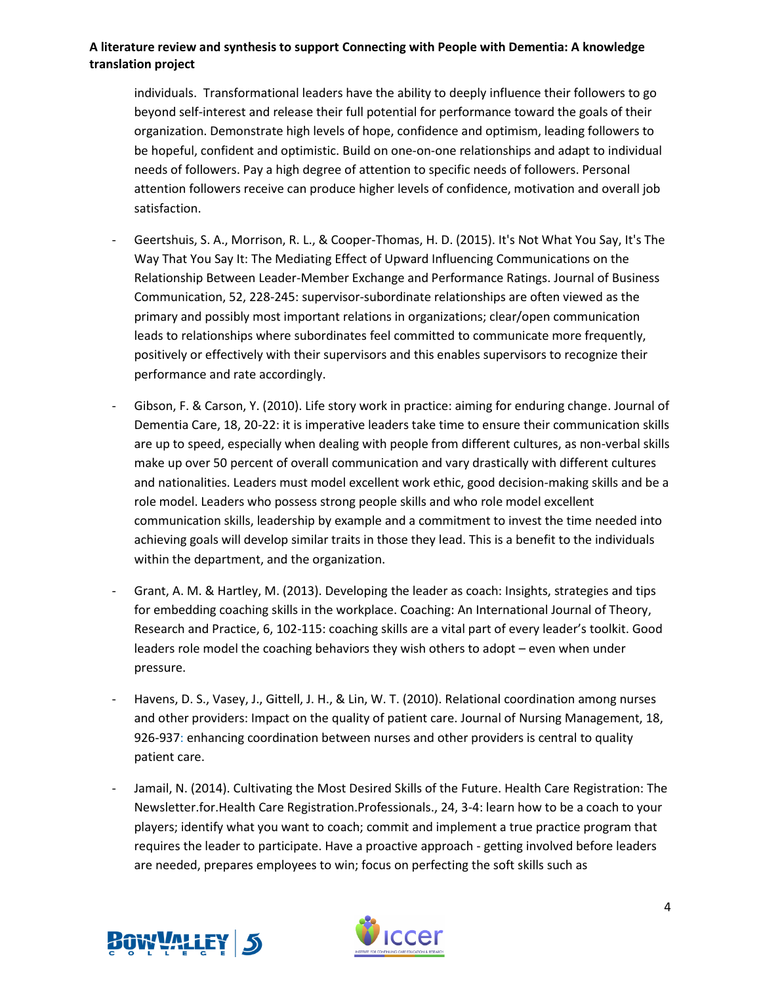individuals. Transformational leaders have the ability to deeply influence their followers to go beyond self-interest and release their full potential for performance toward the goals of their organization. Demonstrate high levels of hope, confidence and optimism, leading followers to be hopeful, confident and optimistic. Build on one-on-one relationships and adapt to individual needs of followers. Pay a high degree of attention to specific needs of followers. Personal attention followers receive can produce higher levels of confidence, motivation and overall job satisfaction.

- Geertshuis, S. A., Morrison, R. L., & Cooper-Thomas, H. D. (2015). It's Not What You Say, It's The Way That You Say It: The Mediating Effect of Upward Influencing Communications on the Relationship Between Leader-Member Exchange and Performance Ratings. Journal of Business Communication, 52, 228-245: supervisor-subordinate relationships are often viewed as the primary and possibly most important relations in organizations; clear/open communication leads to relationships where subordinates feel committed to communicate more frequently, positively or effectively with their supervisors and this enables supervisors to recognize their performance and rate accordingly.
- Gibson, F. & Carson, Y. (2010). Life story work in practice: aiming for enduring change. Journal of Dementia Care, 18, 20-22: it is imperative leaders take time to ensure their communication skills are up to speed, especially when dealing with people from different cultures, as non-verbal skills make up over 50 percent of overall communication and vary drastically with different cultures and nationalities. Leaders must model excellent work ethic, good decision-making skills and be a role model. Leaders who possess strong people skills and who role model excellent communication skills, leadership by example and a commitment to invest the time needed into achieving goals will develop similar traits in those they lead. This is a benefit to the individuals within the department, and the organization.
- Grant, A. M. & Hartley, M. (2013). Developing the leader as coach: Insights, strategies and tips for embedding coaching skills in the workplace. Coaching: An International Journal of Theory, Research and Practice, 6, 102-115: coaching skills are a vital part of every leader's toolkit. Good leaders role model the coaching behaviors they wish others to adopt – even when under pressure.
- Havens, D. S., Vasey, J., Gittell, J. H., & Lin, W. T. (2010). Relational coordination among nurses and other providers: Impact on the quality of patient care. Journal of Nursing Management, 18, 926-937: enhancing coordination between nurses and other providers is central to quality patient care.
- Jamail, N. (2014). Cultivating the Most Desired Skills of the Future. Health Care Registration: The Newsletter.for.Health Care Registration.Professionals., 24, 3-4: learn how to be a coach to your players; identify what you want to coach; commit and implement a true practice program that requires the leader to participate. Have a proactive approach - getting involved before leaders are needed, prepares employees to win; focus on perfecting the soft skills such as



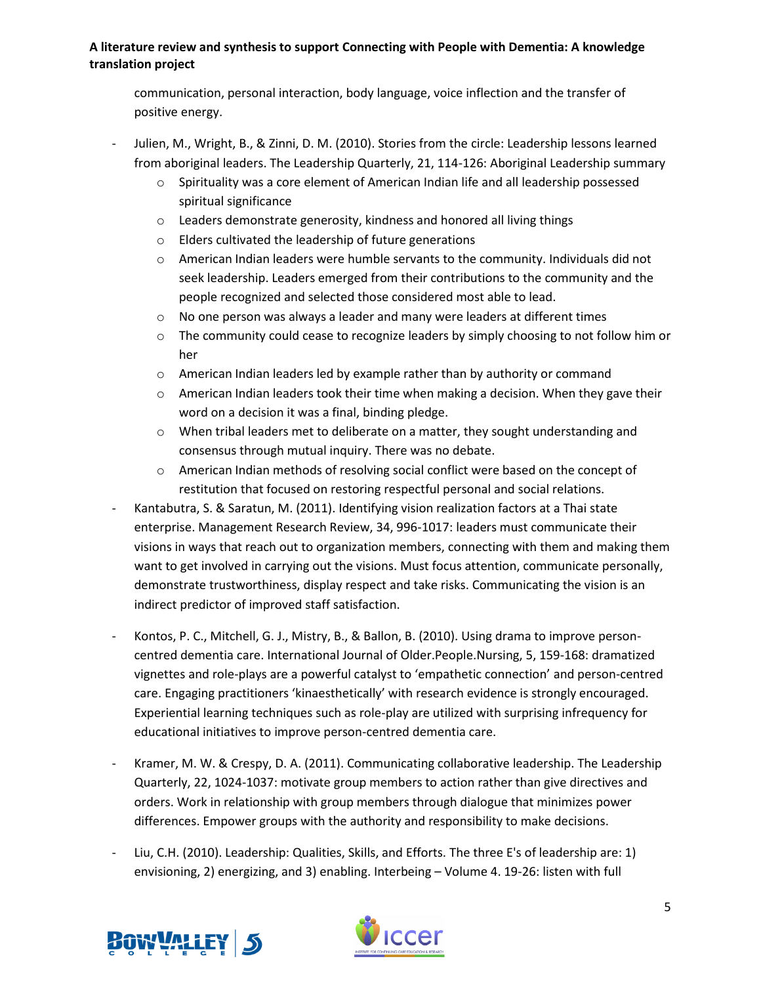communication, personal interaction, body language, voice inflection and the transfer of positive energy.

- Julien, M., Wright, B., & Zinni, D. M. (2010). Stories from the circle: Leadership lessons learned from aboriginal leaders. The Leadership Quarterly, 21, 114-126: Aboriginal Leadership summary
	- o Spirituality was a core element of American Indian life and all leadership possessed spiritual significance
	- o Leaders demonstrate generosity, kindness and honored all living things
	- o Elders cultivated the leadership of future generations
	- $\circ$  American Indian leaders were humble servants to the community. Individuals did not seek leadership. Leaders emerged from their contributions to the community and the people recognized and selected those considered most able to lead.
	- $\circ$  No one person was always a leader and many were leaders at different times
	- $\circ$  The community could cease to recognize leaders by simply choosing to not follow him or her
	- o American Indian leaders led by example rather than by authority or command
	- $\circ$  American Indian leaders took their time when making a decision. When they gave their word on a decision it was a final, binding pledge.
	- $\circ$  When tribal leaders met to deliberate on a matter, they sought understanding and consensus through mutual inquiry. There was no debate.
	- o American Indian methods of resolving social conflict were based on the concept of restitution that focused on restoring respectful personal and social relations.
- Kantabutra, S. & Saratun, M. (2011). Identifying vision realization factors at a Thai state enterprise. Management Research Review, 34, 996-1017: leaders must communicate their visions in ways that reach out to organization members, connecting with them and making them want to get involved in carrying out the visions. Must focus attention, communicate personally, demonstrate trustworthiness, display respect and take risks. Communicating the vision is an indirect predictor of improved staff satisfaction.
- Kontos, P. C., Mitchell, G. J., Mistry, B., & Ballon, B. (2010). Using drama to improve personcentred dementia care. International Journal of Older.People.Nursing, 5, 159-168: dramatized vignettes and role-plays are a powerful catalyst to 'empathetic connection' and person-centred care. Engaging practitioners 'kinaesthetically' with research evidence is strongly encouraged. Experiential learning techniques such as role-play are utilized with surprising infrequency for educational initiatives to improve person-centred dementia care.
- Kramer, M. W. & Crespy, D. A. (2011). Communicating collaborative leadership. The Leadership Quarterly, 22, 1024-1037: motivate group members to action rather than give directives and orders. Work in relationship with group members through dialogue that minimizes power differences. Empower groups with the authority and responsibility to make decisions.
- Liu, C.H. (2010). Leadership: Qualities, Skills, and Efforts. The three E's of leadership are: 1) envisioning, 2) energizing, and 3) enabling. Interbeing – Volume 4. 19-26: listen with full



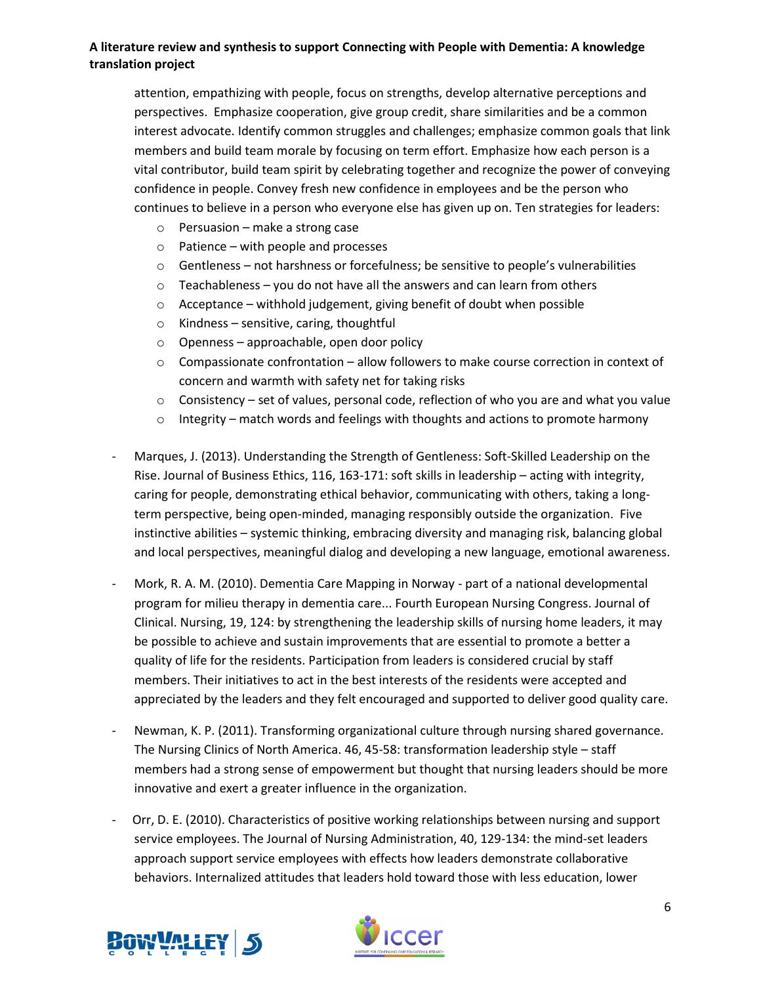attention, empathizing with people, focus on strengths, develop alternative perceptions and perspectives. Emphasize cooperation, give group credit, share similarities and be a common interest advocate. Identify common struggles and challenges; emphasize common goals that link members and build team morale by focusing on term effort. Emphasize how each person is a vital contributor, build team spirit by celebrating together and recognize the power of conveying confidence in people. Convey fresh new confidence in employees and be the person who continues to believe in a person who everyone else has given up on. Ten strategies for leaders:

- o Persuasion make a strong case
- o Patience with people and processes
- $\circ$  Gentleness not harshness or forcefulness; be sensitive to people's vulnerabilities
- $\circ$  Teachableness you do not have all the answers and can learn from others
- $\circ$  Acceptance withhold judgement, giving benefit of doubt when possible
- o Kindness sensitive, caring, thoughtful
- o Openness approachable, open door policy
- o Compassionate confrontation allow followers to make course correction in context of concern and warmth with safety net for taking risks
- $\circ$  Consistency set of values, personal code, reflection of who you are and what you value
- $\circ$  Integrity match words and feelings with thoughts and actions to promote harmony
- Marques, J. (2013). Understanding the Strength of Gentleness: Soft-Skilled Leadership on the Rise. Journal of Business Ethics, 116, 163-171: soft skills in leadership – acting with integrity, caring for people, demonstrating ethical behavior, communicating with others, taking a longterm perspective, being open-minded, managing responsibly outside the organization. Five instinctive abilities – systemic thinking, embracing diversity and managing risk, balancing global and local perspectives, meaningful dialog and developing a new language, emotional awareness.
- Mork, R. A. M. (2010). Dementia Care Mapping in Norway part of a national developmental program for milieu therapy in dementia care... Fourth European Nursing Congress. Journal of Clinical. Nursing, 19, 124: by strengthening the leadership skills of nursing home leaders, it may be possible to achieve and sustain improvements that are essential to promote a better a quality of life for the residents. Participation from leaders is considered crucial by staff members. Their initiatives to act in the best interests of the residents were accepted and appreciated by the leaders and they felt encouraged and supported to deliver good quality care.
- Newman, K. P. (2011). Transforming organizational culture through nursing shared governance. The Nursing Clinics of North America. 46, 45-58: transformation leadership style – staff members had a strong sense of empowerment but thought that nursing leaders should be more innovative and exert a greater influence in the organization.
- Orr, D. E. (2010). Characteristics of positive working relationships between nursing and support service employees. The Journal of Nursing Administration, 40, 129-134: the mind-set leaders approach support service employees with effects how leaders demonstrate collaborative behaviors. Internalized attitudes that leaders hold toward those with less education, lower



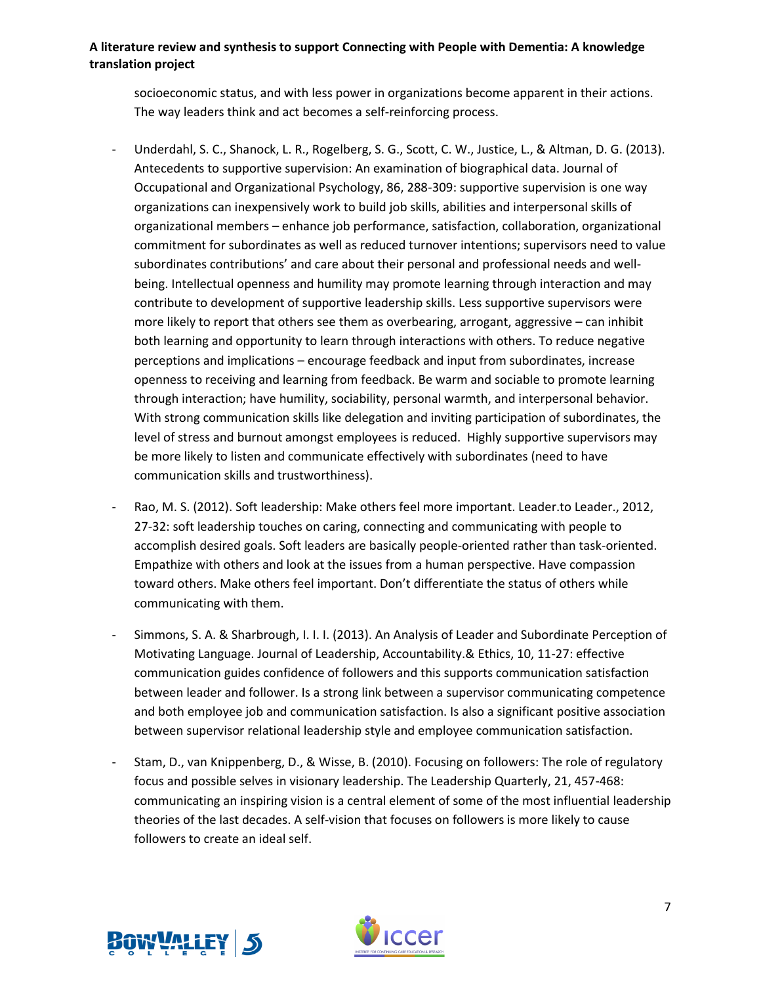socioeconomic status, and with less power in organizations become apparent in their actions. The way leaders think and act becomes a self-reinforcing process.

- Underdahl, S. C., Shanock, L. R., Rogelberg, S. G., Scott, C. W., Justice, L., & Altman, D. G. (2013). Antecedents to supportive supervision: An examination of biographical data. Journal of Occupational and Organizational Psychology, 86, 288-309: supportive supervision is one way organizations can inexpensively work to build job skills, abilities and interpersonal skills of organizational members – enhance job performance, satisfaction, collaboration, organizational commitment for subordinates as well as reduced turnover intentions; supervisors need to value subordinates contributions' and care about their personal and professional needs and wellbeing. Intellectual openness and humility may promote learning through interaction and may contribute to development of supportive leadership skills. Less supportive supervisors were more likely to report that others see them as overbearing, arrogant, aggressive – can inhibit both learning and opportunity to learn through interactions with others. To reduce negative perceptions and implications – encourage feedback and input from subordinates, increase openness to receiving and learning from feedback. Be warm and sociable to promote learning through interaction; have humility, sociability, personal warmth, and interpersonal behavior. With strong communication skills like delegation and inviting participation of subordinates, the level of stress and burnout amongst employees is reduced. Highly supportive supervisors may be more likely to listen and communicate effectively with subordinates (need to have communication skills and trustworthiness).
- Rao, M. S. (2012). Soft leadership: Make others feel more important. Leader.to Leader., 2012, 27-32: soft leadership touches on caring, connecting and communicating with people to accomplish desired goals. Soft leaders are basically people-oriented rather than task-oriented. Empathize with others and look at the issues from a human perspective. Have compassion toward others. Make others feel important. Don't differentiate the status of others while communicating with them.
- Simmons, S. A. & Sharbrough, I. I. I. (2013). An Analysis of Leader and Subordinate Perception of Motivating Language. Journal of Leadership, Accountability.& Ethics, 10, 11-27: effective communication guides confidence of followers and this supports communication satisfaction between leader and follower. Is a strong link between a supervisor communicating competence and both employee job and communication satisfaction. Is also a significant positive association between supervisor relational leadership style and employee communication satisfaction.
- Stam, D., van Knippenberg, D., & Wisse, B. (2010). Focusing on followers: The role of regulatory focus and possible selves in visionary leadership. The Leadership Quarterly, 21, 457-468: communicating an inspiring vision is a central element of some of the most influential leadership theories of the last decades. A self-vision that focuses on followers is more likely to cause followers to create an ideal self.



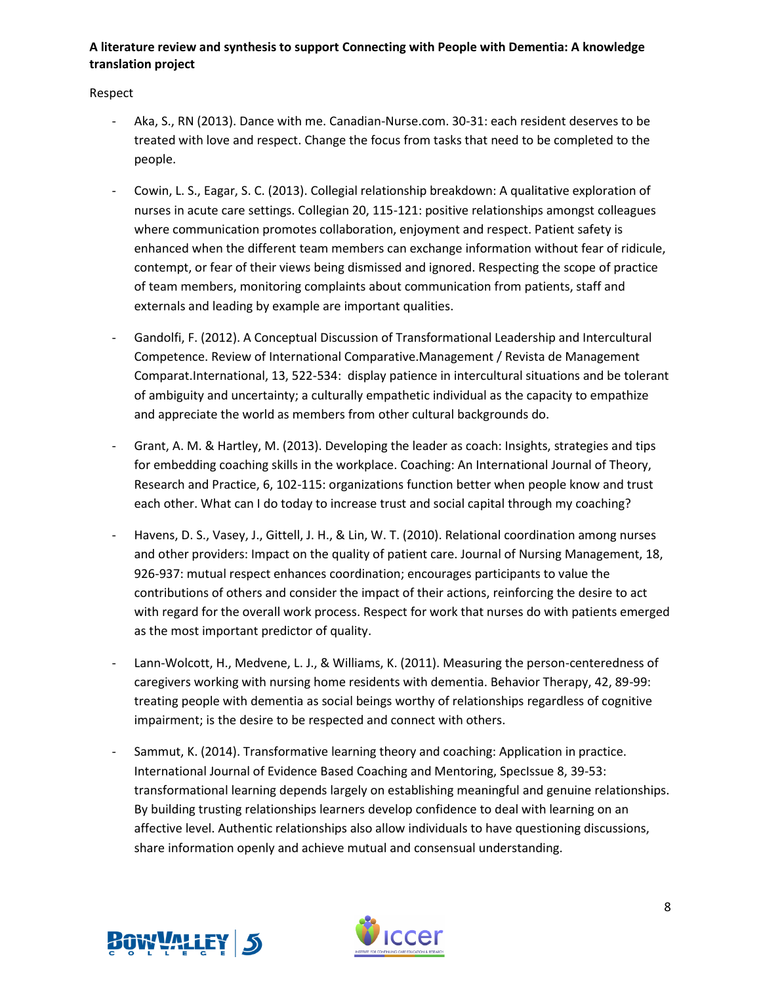Respect

- Aka, S., RN (2013). Dance with me. Canadian-Nurse.com. 30-31: each resident deserves to be treated with love and respect. Change the focus from tasks that need to be completed to the people.
- Cowin, L. S., Eagar, S. C. (2013). Collegial relationship breakdown: A qualitative exploration of nurses in acute care settings. Collegian 20, 115-121: positive relationships amongst colleagues where communication promotes collaboration, enjoyment and respect. Patient safety is enhanced when the different team members can exchange information without fear of ridicule, contempt, or fear of their views being dismissed and ignored. Respecting the scope of practice of team members, monitoring complaints about communication from patients, staff and externals and leading by example are important qualities.
- Gandolfi, F. (2012). A Conceptual Discussion of Transformational Leadership and Intercultural Competence. Review of International Comparative.Management / Revista de Management Comparat.International, 13, 522-534: display patience in intercultural situations and be tolerant of ambiguity and uncertainty; a culturally empathetic individual as the capacity to empathize and appreciate the world as members from other cultural backgrounds do.
- Grant, A. M. & Hartley, M. (2013). Developing the leader as coach: Insights, strategies and tips for embedding coaching skills in the workplace. Coaching: An International Journal of Theory, Research and Practice, 6, 102-115: organizations function better when people know and trust each other. What can I do today to increase trust and social capital through my coaching?
- Havens, D. S., Vasey, J., Gittell, J. H., & Lin, W. T. (2010). Relational coordination among nurses and other providers: Impact on the quality of patient care. Journal of Nursing Management, 18, 926-937: mutual respect enhances coordination; encourages participants to value the contributions of others and consider the impact of their actions, reinforcing the desire to act with regard for the overall work process. Respect for work that nurses do with patients emerged as the most important predictor of quality.
- Lann-Wolcott, H., Medvene, L. J., & Williams, K. (2011). Measuring the person-centeredness of caregivers working with nursing home residents with dementia. Behavior Therapy, 42, 89-99: treating people with dementia as social beings worthy of relationships regardless of cognitive impairment; is the desire to be respected and connect with others.
- Sammut, K. (2014). Transformative learning theory and coaching: Application in practice. International Journal of Evidence Based Coaching and Mentoring, SpecIssue 8, 39-53: transformational learning depends largely on establishing meaningful and genuine relationships. By building trusting relationships learners develop confidence to deal with learning on an affective level. Authentic relationships also allow individuals to have questioning discussions, share information openly and achieve mutual and consensual understanding.



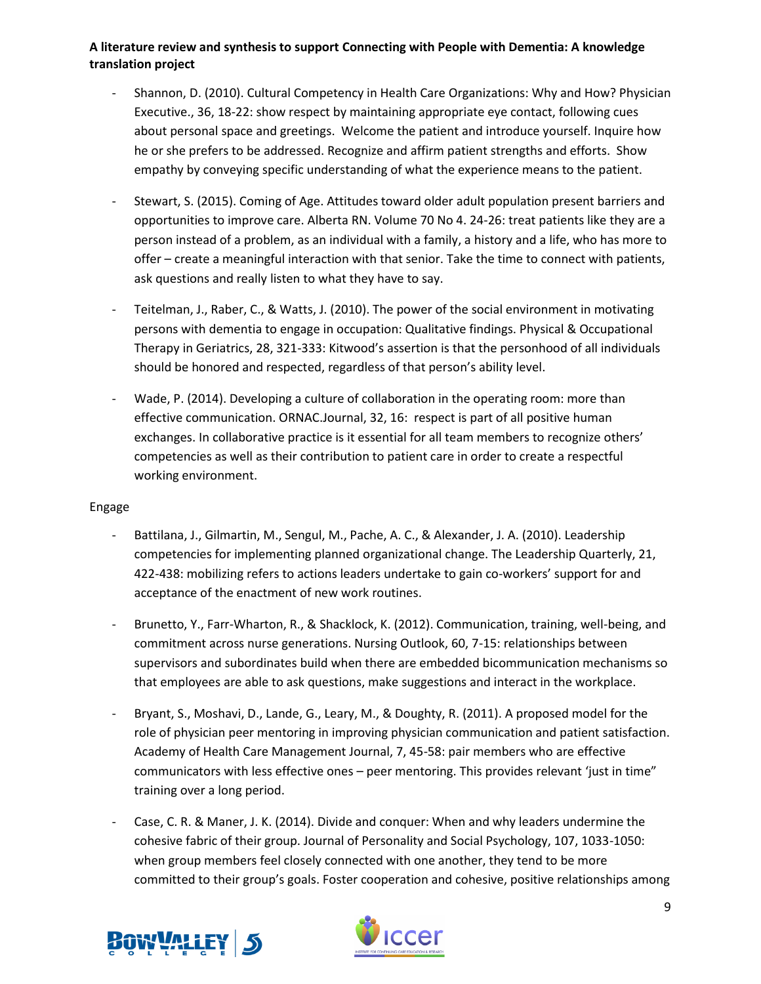- Shannon, D. (2010). Cultural Competency in Health Care Organizations: Why and How? Physician Executive., 36, 18-22: show respect by maintaining appropriate eye contact, following cues about personal space and greetings. Welcome the patient and introduce yourself. Inquire how he or she prefers to be addressed. Recognize and affirm patient strengths and efforts. Show empathy by conveying specific understanding of what the experience means to the patient.
- Stewart, S. (2015). Coming of Age. Attitudes toward older adult population present barriers and opportunities to improve care. Alberta RN. Volume 70 No 4. 24-26: treat patients like they are a person instead of a problem, as an individual with a family, a history and a life, who has more to offer – create a meaningful interaction with that senior. Take the time to connect with patients, ask questions and really listen to what they have to say.
- Teitelman, J., Raber, C., & Watts, J. (2010). The power of the social environment in motivating persons with dementia to engage in occupation: Qualitative findings. Physical & Occupational Therapy in Geriatrics, 28, 321-333: Kitwood's assertion is that the personhood of all individuals should be honored and respected, regardless of that person's ability level.
- Wade, P. (2014). Developing a culture of collaboration in the operating room: more than effective communication. ORNAC.Journal, 32, 16: respect is part of all positive human exchanges. In collaborative practice is it essential for all team members to recognize others' competencies as well as their contribution to patient care in order to create a respectful working environment.

#### Engage

- Battilana, J., Gilmartin, M., Sengul, M., Pache, A. C., & Alexander, J. A. (2010). Leadership competencies for implementing planned organizational change. The Leadership Quarterly, 21, 422-438: mobilizing refers to actions leaders undertake to gain co-workers' support for and acceptance of the enactment of new work routines.
- Brunetto, Y., Farr-Wharton, R., & Shacklock, K. (2012). Communication, training, well-being, and commitment across nurse generations. Nursing Outlook, 60, 7-15: relationships between supervisors and subordinates build when there are embedded bicommunication mechanisms so that employees are able to ask questions, make suggestions and interact in the workplace.
- Bryant, S., Moshavi, D., Lande, G., Leary, M., & Doughty, R. (2011). A proposed model for the role of physician peer mentoring in improving physician communication and patient satisfaction. Academy of Health Care Management Journal, 7, 45-58: pair members who are effective communicators with less effective ones – peer mentoring. This provides relevant 'just in time" training over a long period.
- Case, C. R. & Maner, J. K. (2014). Divide and conquer: When and why leaders undermine the cohesive fabric of their group. Journal of Personality and Social Psychology, 107, 1033-1050: when group members feel closely connected with one another, they tend to be more committed to their group's goals. Foster cooperation and cohesive, positive relationships among



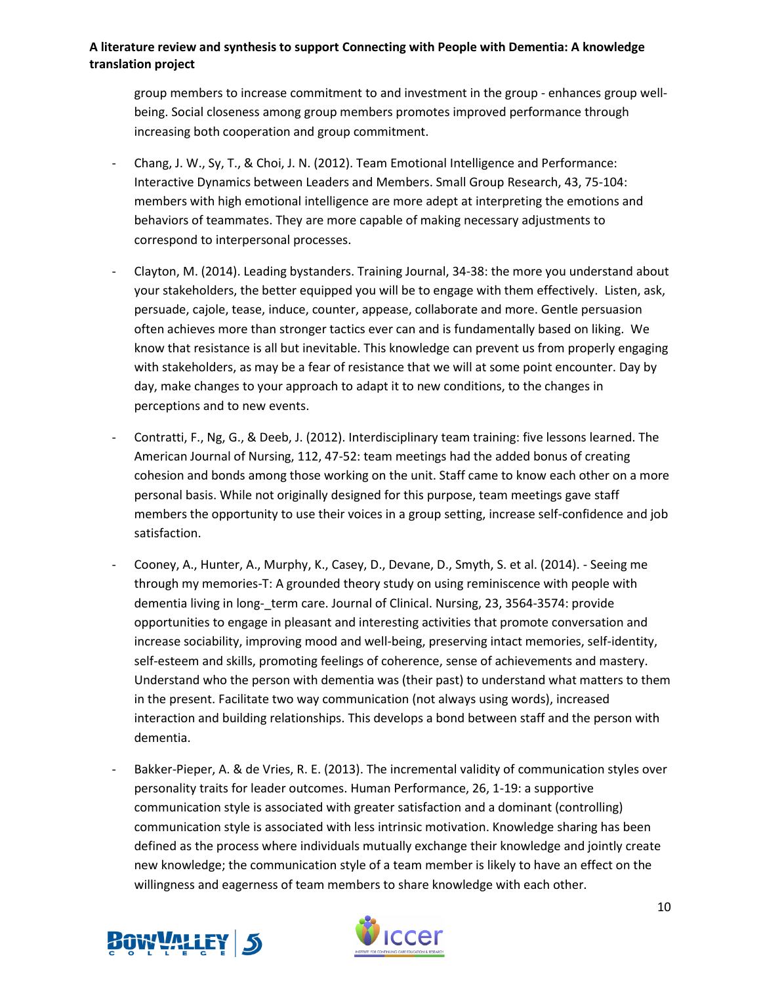group members to increase commitment to and investment in the group - enhances group wellbeing. Social closeness among group members promotes improved performance through increasing both cooperation and group commitment.

- Chang, J. W., Sy, T., & Choi, J. N. (2012). Team Emotional Intelligence and Performance: Interactive Dynamics between Leaders and Members. Small Group Research, 43, 75-104: members with high emotional intelligence are more adept at interpreting the emotions and behaviors of teammates. They are more capable of making necessary adjustments to correspond to interpersonal processes.
- Clayton, M. (2014). Leading bystanders. Training Journal, 34-38: the more you understand about your stakeholders, the better equipped you will be to engage with them effectively. Listen, ask, persuade, cajole, tease, induce, counter, appease, collaborate and more. Gentle persuasion often achieves more than stronger tactics ever can and is fundamentally based on liking. We know that resistance is all but inevitable. This knowledge can prevent us from properly engaging with stakeholders, as may be a fear of resistance that we will at some point encounter. Day by day, make changes to your approach to adapt it to new conditions, to the changes in perceptions and to new events.
- Contratti, F., Ng, G., & Deeb, J. (2012). Interdisciplinary team training: five lessons learned. The American Journal of Nursing, 112, 47-52: team meetings had the added bonus of creating cohesion and bonds among those working on the unit. Staff came to know each other on a more personal basis. While not originally designed for this purpose, team meetings gave staff members the opportunity to use their voices in a group setting, increase self-confidence and job satisfaction.
- Cooney, A., Hunter, A., Murphy, K., Casey, D., Devane, D., Smyth, S. et al. (2014). Seeing me through my memories-T: A grounded theory study on using reminiscence with people with dementia living in long-\_term care. Journal of Clinical. Nursing, 23, 3564-3574: provide opportunities to engage in pleasant and interesting activities that promote conversation and increase sociability, improving mood and well-being, preserving intact memories, self-identity, self-esteem and skills, promoting feelings of coherence, sense of achievements and mastery. Understand who the person with dementia was (their past) to understand what matters to them in the present. Facilitate two way communication (not always using words), increased interaction and building relationships. This develops a bond between staff and the person with dementia.
- Bakker-Pieper, A. & de Vries, R. E. (2013). The incremental validity of communication styles over personality traits for leader outcomes. Human Performance, 26, 1-19: a supportive communication style is associated with greater satisfaction and a dominant (controlling) communication style is associated with less intrinsic motivation. Knowledge sharing has been defined as the process where individuals mutually exchange their knowledge and jointly create new knowledge; the communication style of a team member is likely to have an effect on the willingness and eagerness of team members to share knowledge with each other.



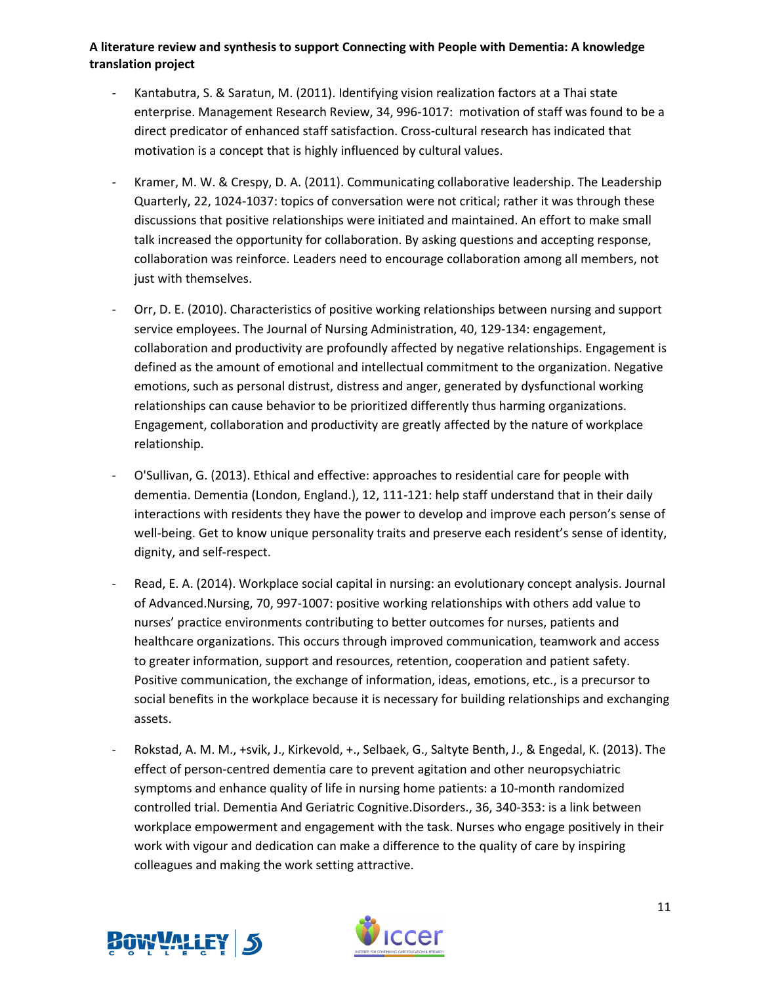- Kantabutra, S. & Saratun, M. (2011). Identifying vision realization factors at a Thai state enterprise. Management Research Review, 34, 996-1017: motivation of staff was found to be a direct predicator of enhanced staff satisfaction. Cross-cultural research has indicated that motivation is a concept that is highly influenced by cultural values.
- Kramer, M. W. & Crespy, D. A. (2011). Communicating collaborative leadership. The Leadership Quarterly, 22, 1024-1037: topics of conversation were not critical; rather it was through these discussions that positive relationships were initiated and maintained. An effort to make small talk increased the opportunity for collaboration. By asking questions and accepting response, collaboration was reinforce. Leaders need to encourage collaboration among all members, not just with themselves.
- Orr, D. E. (2010). Characteristics of positive working relationships between nursing and support service employees. The Journal of Nursing Administration, 40, 129-134: engagement, collaboration and productivity are profoundly affected by negative relationships. Engagement is defined as the amount of emotional and intellectual commitment to the organization. Negative emotions, such as personal distrust, distress and anger, generated by dysfunctional working relationships can cause behavior to be prioritized differently thus harming organizations. Engagement, collaboration and productivity are greatly affected by the nature of workplace relationship.
- O'Sullivan, G. (2013). Ethical and effective: approaches to residential care for people with dementia. Dementia (London, England.), 12, 111-121: help staff understand that in their daily interactions with residents they have the power to develop and improve each person's sense of well-being. Get to know unique personality traits and preserve each resident's sense of identity, dignity, and self-respect.
- Read, E. A. (2014). Workplace social capital in nursing: an evolutionary concept analysis. Journal of Advanced.Nursing, 70, 997-1007: positive working relationships with others add value to nurses' practice environments contributing to better outcomes for nurses, patients and healthcare organizations. This occurs through improved communication, teamwork and access to greater information, support and resources, retention, cooperation and patient safety. Positive communication, the exchange of information, ideas, emotions, etc., is a precursor to social benefits in the workplace because it is necessary for building relationships and exchanging assets.
- Rokstad, A. M. M., +svik, J., Kirkevold, +., Selbaek, G., Saltyte Benth, J., & Engedal, K. (2013). The effect of person-centred dementia care to prevent agitation and other neuropsychiatric symptoms and enhance quality of life in nursing home patients: a 10-month randomized controlled trial. Dementia And Geriatric Cognitive.Disorders., 36, 340-353: is a link between workplace empowerment and engagement with the task. Nurses who engage positively in their work with vigour and dedication can make a difference to the quality of care by inspiring colleagues and making the work setting attractive.



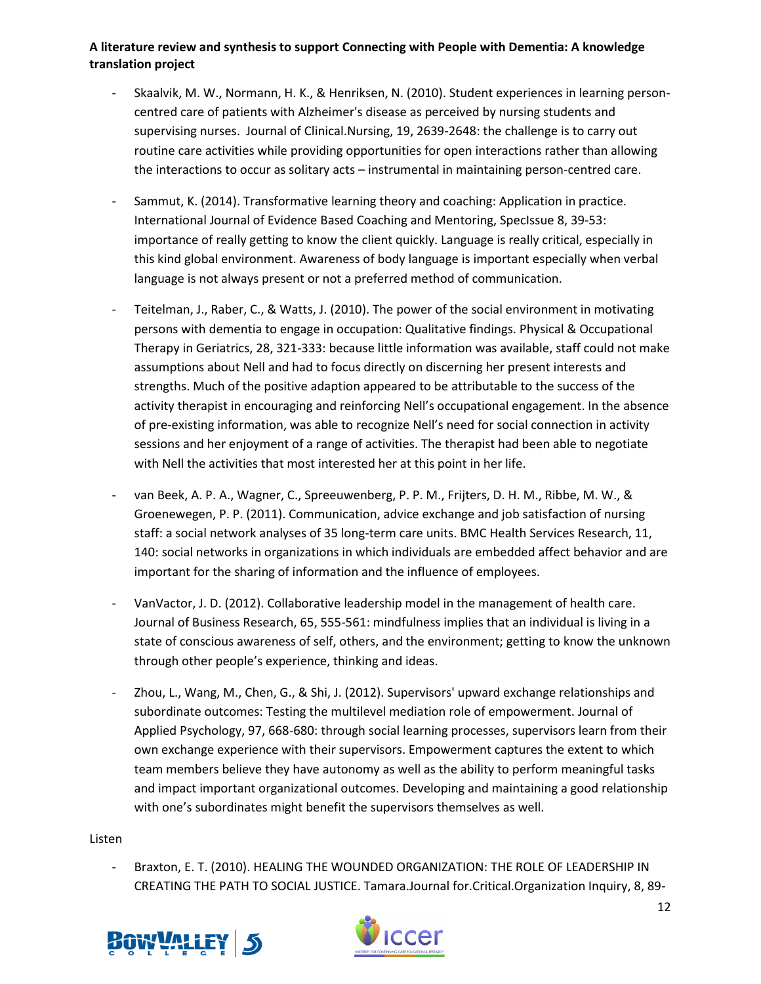- Skaalvik, M. W., Normann, H. K., & Henriksen, N. (2010). Student experiences in learning personcentred care of patients with Alzheimer's disease as perceived by nursing students and supervising nurses. Journal of Clinical.Nursing, 19, 2639-2648: the challenge is to carry out routine care activities while providing opportunities for open interactions rather than allowing the interactions to occur as solitary acts – instrumental in maintaining person-centred care.
- Sammut, K. (2014). Transformative learning theory and coaching: Application in practice. International Journal of Evidence Based Coaching and Mentoring, SpecIssue 8, 39-53: importance of really getting to know the client quickly. Language is really critical, especially in this kind global environment. Awareness of body language is important especially when verbal language is not always present or not a preferred method of communication.
- Teitelman, J., Raber, C., & Watts, J. (2010). The power of the social environment in motivating persons with dementia to engage in occupation: Qualitative findings. Physical & Occupational Therapy in Geriatrics, 28, 321-333: because little information was available, staff could not make assumptions about Nell and had to focus directly on discerning her present interests and strengths. Much of the positive adaption appeared to be attributable to the success of the activity therapist in encouraging and reinforcing Nell's occupational engagement. In the absence of pre-existing information, was able to recognize Nell's need for social connection in activity sessions and her enjoyment of a range of activities. The therapist had been able to negotiate with Nell the activities that most interested her at this point in her life.
- van Beek, A. P. A., Wagner, C., Spreeuwenberg, P. P. M., Frijters, D. H. M., Ribbe, M. W., & Groenewegen, P. P. (2011). Communication, advice exchange and job satisfaction of nursing staff: a social network analyses of 35 long-term care units. BMC Health Services Research, 11, 140: social networks in organizations in which individuals are embedded affect behavior and are important for the sharing of information and the influence of employees.
- VanVactor, J. D. (2012). Collaborative leadership model in the management of health care. Journal of Business Research, 65, 555-561: mindfulness implies that an individual is living in a state of conscious awareness of self, others, and the environment; getting to know the unknown through other people's experience, thinking and ideas.
- Zhou, L., Wang, M., Chen, G., & Shi, J. (2012). Supervisors' upward exchange relationships and subordinate outcomes: Testing the multilevel mediation role of empowerment. Journal of Applied Psychology, 97, 668-680: through social learning processes, supervisors learn from their own exchange experience with their supervisors. Empowerment captures the extent to which team members believe they have autonomy as well as the ability to perform meaningful tasks and impact important organizational outcomes. Developing and maintaining a good relationship with one's subordinates might benefit the supervisors themselves as well.

#### Listen

- Braxton, E. T. (2010). HEALING THE WOUNDED ORGANIZATION: THE ROLE OF LEADERSHIP IN CREATING THE PATH TO SOCIAL JUSTICE. Tamara.Journal for.Critical.Organization Inquiry, 8, 89-



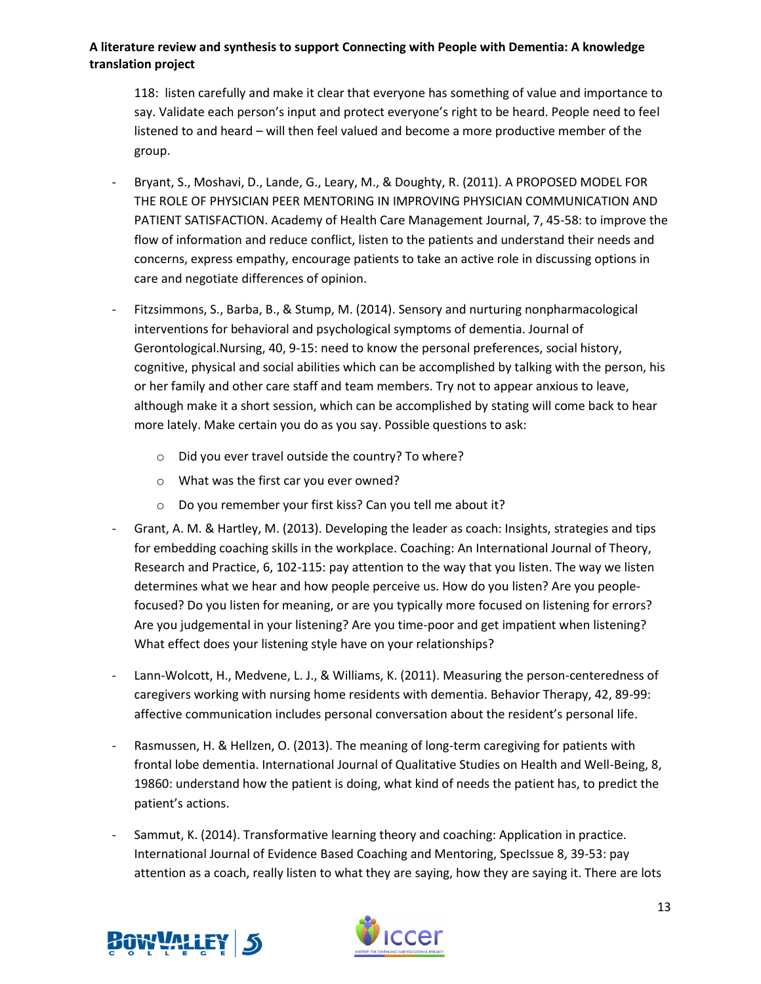118: listen carefully and make it clear that everyone has something of value and importance to say. Validate each person's input and protect everyone's right to be heard. People need to feel listened to and heard – will then feel valued and become a more productive member of the group.

- Bryant, S., Moshavi, D., Lande, G., Leary, M., & Doughty, R. (2011). A PROPOSED MODEL FOR THE ROLE OF PHYSICIAN PEER MENTORING IN IMPROVING PHYSICIAN COMMUNICATION AND PATIENT SATISFACTION. Academy of Health Care Management Journal, 7, 45-58: to improve the flow of information and reduce conflict, listen to the patients and understand their needs and concerns, express empathy, encourage patients to take an active role in discussing options in care and negotiate differences of opinion.
- Fitzsimmons, S., Barba, B., & Stump, M. (2014). Sensory and nurturing nonpharmacological interventions for behavioral and psychological symptoms of dementia. Journal of Gerontological.Nursing, 40, 9-15: need to know the personal preferences, social history, cognitive, physical and social abilities which can be accomplished by talking with the person, his or her family and other care staff and team members. Try not to appear anxious to leave, although make it a short session, which can be accomplished by stating will come back to hear more lately. Make certain you do as you say. Possible questions to ask:
	- o Did you ever travel outside the country? To where?
	- o What was the first car you ever owned?
	- o Do you remember your first kiss? Can you tell me about it?
- Grant, A. M. & Hartley, M. (2013). Developing the leader as coach: Insights, strategies and tips for embedding coaching skills in the workplace. Coaching: An International Journal of Theory, Research and Practice, 6, 102-115: pay attention to the way that you listen. The way we listen determines what we hear and how people perceive us. How do you listen? Are you peoplefocused? Do you listen for meaning, or are you typically more focused on listening for errors? Are you judgemental in your listening? Are you time-poor and get impatient when listening? What effect does your listening style have on your relationships?
- Lann-Wolcott, H., Medvene, L. J., & Williams, K. (2011). Measuring the person-centeredness of caregivers working with nursing home residents with dementia. Behavior Therapy, 42, 89-99: affective communication includes personal conversation about the resident's personal life.
- Rasmussen, H. & Hellzen, O. (2013). The meaning of long-term caregiving for patients with frontal lobe dementia. International Journal of Qualitative Studies on Health and Well-Being, 8, 19860: understand how the patient is doing, what kind of needs the patient has, to predict the patient's actions.
- Sammut, K. (2014). Transformative learning theory and coaching: Application in practice. International Journal of Evidence Based Coaching and Mentoring, SpecIssue 8, 39-53: pay attention as a coach, really listen to what they are saying, how they are saying it. There are lots



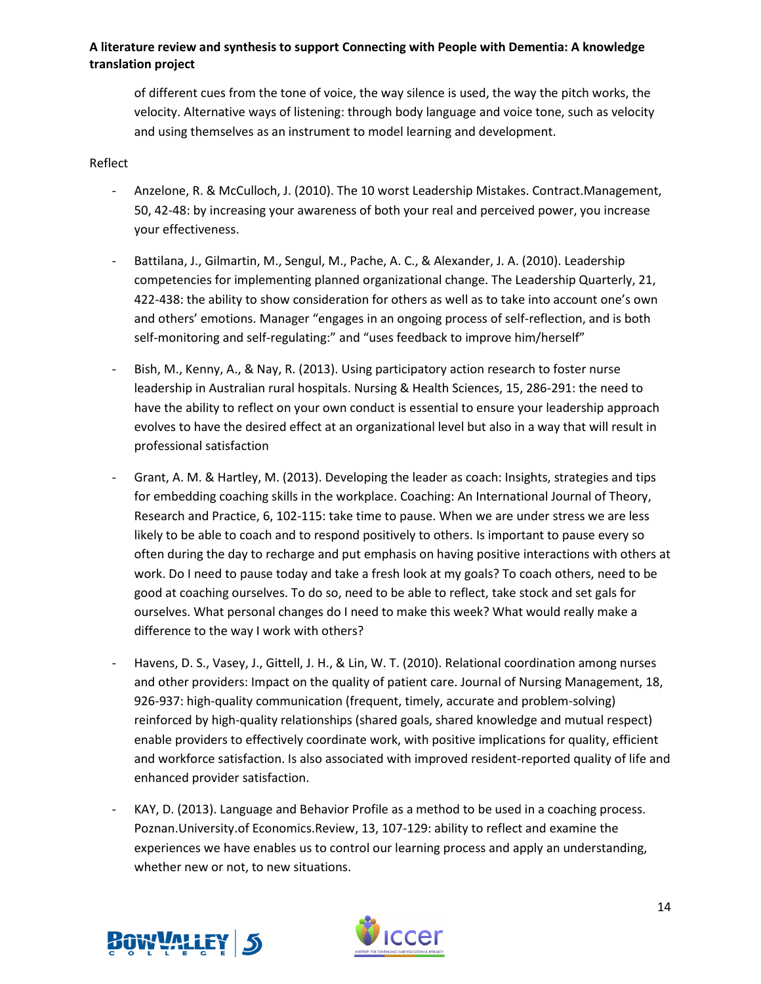of different cues from the tone of voice, the way silence is used, the way the pitch works, the velocity. Alternative ways of listening: through body language and voice tone, such as velocity and using themselves as an instrument to model learning and development.

#### Reflect

- Anzelone, R. & McCulloch, J. (2010). The 10 worst Leadership Mistakes. Contract.Management, 50, 42-48: by increasing your awareness of both your real and perceived power, you increase your effectiveness.
- Battilana, J., Gilmartin, M., Sengul, M., Pache, A. C., & Alexander, J. A. (2010). Leadership competencies for implementing planned organizational change. The Leadership Quarterly, 21, 422-438: the ability to show consideration for others as well as to take into account one's own and others' emotions. Manager "engages in an ongoing process of self-reflection, and is both self-monitoring and self-regulating:" and "uses feedback to improve him/herself"
- Bish, M., Kenny, A., & Nay, R. (2013). Using participatory action research to foster nurse leadership in Australian rural hospitals. Nursing & Health Sciences, 15, 286-291: the need to have the ability to reflect on your own conduct is essential to ensure your leadership approach evolves to have the desired effect at an organizational level but also in a way that will result in professional satisfaction
- Grant, A. M. & Hartley, M. (2013). Developing the leader as coach: Insights, strategies and tips for embedding coaching skills in the workplace. Coaching: An International Journal of Theory, Research and Practice, 6, 102-115: take time to pause. When we are under stress we are less likely to be able to coach and to respond positively to others. Is important to pause every so often during the day to recharge and put emphasis on having positive interactions with others at work. Do I need to pause today and take a fresh look at my goals? To coach others, need to be good at coaching ourselves. To do so, need to be able to reflect, take stock and set gals for ourselves. What personal changes do I need to make this week? What would really make a difference to the way I work with others?
- Havens, D. S., Vasey, J., Gittell, J. H., & Lin, W. T. (2010). Relational coordination among nurses and other providers: Impact on the quality of patient care. Journal of Nursing Management, 18, 926-937: high-quality communication (frequent, timely, accurate and problem-solving) reinforced by high-quality relationships (shared goals, shared knowledge and mutual respect) enable providers to effectively coordinate work, with positive implications for quality, efficient and workforce satisfaction. Is also associated with improved resident-reported quality of life and enhanced provider satisfaction.
- KAY, D. (2013). Language and Behavior Profile as a method to be used in a coaching process. Poznan.University.of Economics.Review, 13, 107-129: ability to reflect and examine the experiences we have enables us to control our learning process and apply an understanding, whether new or not, to new situations.



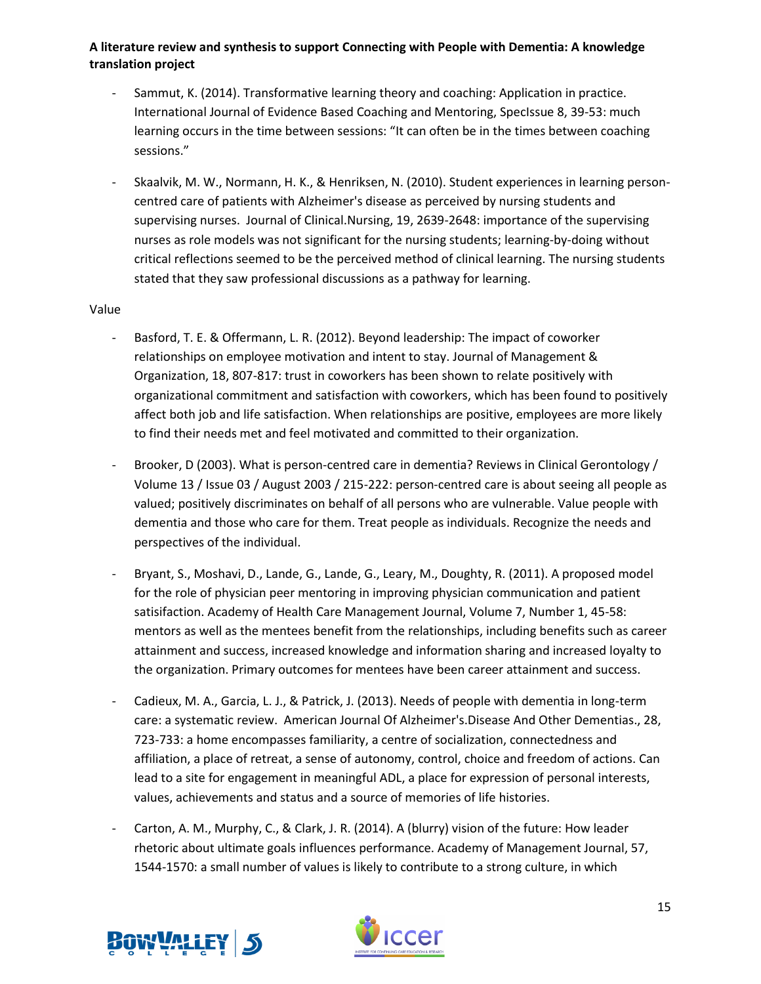- Sammut, K. (2014). Transformative learning theory and coaching: Application in practice. International Journal of Evidence Based Coaching and Mentoring, SpecIssue 8, 39-53: much learning occurs in the time between sessions: "It can often be in the times between coaching sessions."
- Skaalvik, M. W., Normann, H. K., & Henriksen, N. (2010). Student experiences in learning personcentred care of patients with Alzheimer's disease as perceived by nursing students and supervising nurses. Journal of Clinical.Nursing, 19, 2639-2648: importance of the supervising nurses as role models was not significant for the nursing students; learning-by-doing without critical reflections seemed to be the perceived method of clinical learning. The nursing students stated that they saw professional discussions as a pathway for learning.

### Value

- Basford, T. E. & Offermann, L. R. (2012). Beyond leadership: The impact of coworker relationships on employee motivation and intent to stay. Journal of Management & Organization, 18, 807-817: trust in coworkers has been shown to relate positively with organizational commitment and satisfaction with coworkers, which has been found to positively affect both job and life satisfaction. When relationships are positive, employees are more likely to find their needs met and feel motivated and committed to their organization.
- Brooker, D (2003). What is person-centred care in dementia? Reviews in Clinical Gerontology / Volume 13 / Issue 03 / August 2003 / 215-222: person-centred care is about seeing all people as valued; positively discriminates on behalf of all persons who are vulnerable. Value people with dementia and those who care for them. Treat people as individuals. Recognize the needs and perspectives of the individual.
- Bryant, S., Moshavi, D., Lande, G., Lande, G., Leary, M., Doughty, R. (2011). A proposed model for the role of physician peer mentoring in improving physician communication and patient satisifaction. Academy of Health Care Management Journal, Volume 7, Number 1, 45-58: mentors as well as the mentees benefit from the relationships, including benefits such as career attainment and success, increased knowledge and information sharing and increased loyalty to the organization. Primary outcomes for mentees have been career attainment and success.
- Cadieux, M. A., Garcia, L. J., & Patrick, J. (2013). Needs of people with dementia in long-term care: a systematic review. American Journal Of Alzheimer's.Disease And Other Dementias., 28, 723-733: a home encompasses familiarity, a centre of socialization, connectedness and affiliation, a place of retreat, a sense of autonomy, control, choice and freedom of actions. Can lead to a site for engagement in meaningful ADL, a place for expression of personal interests, values, achievements and status and a source of memories of life histories.
- Carton, A. M., Murphy, C., & Clark, J. R. (2014). A (blurry) vision of the future: How leader rhetoric about ultimate goals influences performance. Academy of Management Journal, 57, 1544-1570: a small number of values is likely to contribute to a strong culture, in which



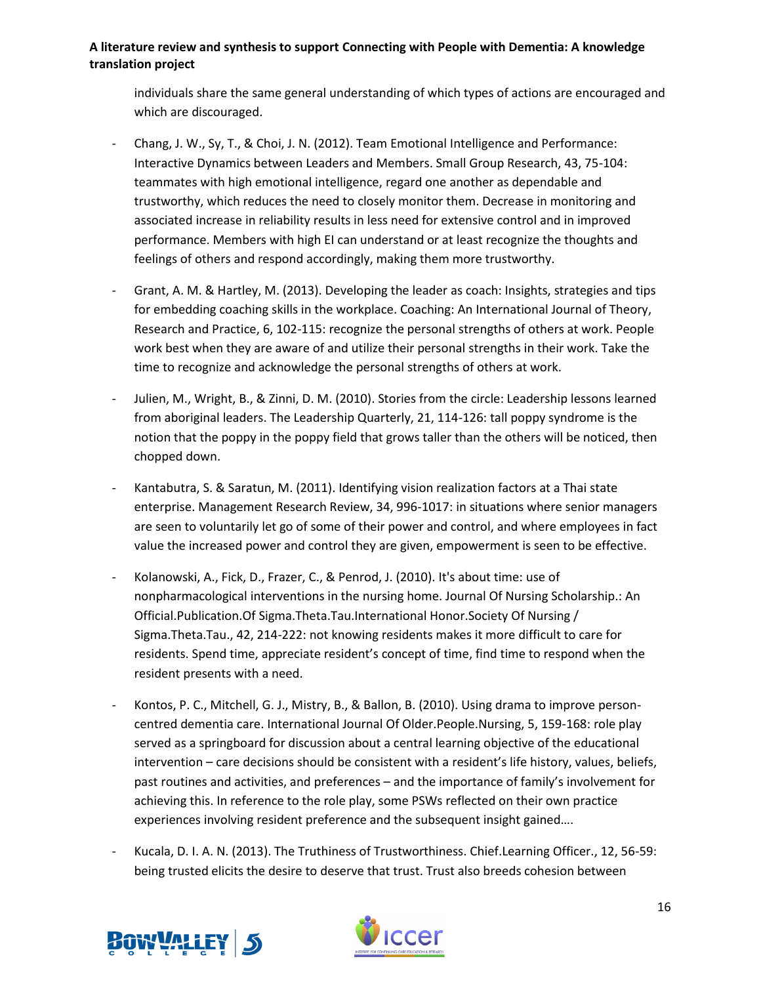individuals share the same general understanding of which types of actions are encouraged and which are discouraged.

- Chang, J. W., Sy, T., & Choi, J. N. (2012). Team Emotional Intelligence and Performance: Interactive Dynamics between Leaders and Members. Small Group Research, 43, 75-104: teammates with high emotional intelligence, regard one another as dependable and trustworthy, which reduces the need to closely monitor them. Decrease in monitoring and associated increase in reliability results in less need for extensive control and in improved performance. Members with high EI can understand or at least recognize the thoughts and feelings of others and respond accordingly, making them more trustworthy.
- Grant, A. M. & Hartley, M. (2013). Developing the leader as coach: Insights, strategies and tips for embedding coaching skills in the workplace. Coaching: An International Journal of Theory, Research and Practice, 6, 102-115: recognize the personal strengths of others at work. People work best when they are aware of and utilize their personal strengths in their work. Take the time to recognize and acknowledge the personal strengths of others at work.
- Julien, M., Wright, B., & Zinni, D. M. (2010). Stories from the circle: Leadership lessons learned from aboriginal leaders. The Leadership Quarterly, 21, 114-126: tall poppy syndrome is the notion that the poppy in the poppy field that grows taller than the others will be noticed, then chopped down.
- Kantabutra, S. & Saratun, M. (2011). Identifying vision realization factors at a Thai state enterprise. Management Research Review, 34, 996-1017: in situations where senior managers are seen to voluntarily let go of some of their power and control, and where employees in fact value the increased power and control they are given, empowerment is seen to be effective.
- Kolanowski, A., Fick, D., Frazer, C., & Penrod, J. (2010). It's about time: use of nonpharmacological interventions in the nursing home. Journal Of Nursing Scholarship.: An Official.Publication.Of Sigma.Theta.Tau.International Honor.Society Of Nursing / Sigma.Theta.Tau., 42, 214-222: not knowing residents makes it more difficult to care for residents. Spend time, appreciate resident's concept of time, find time to respond when the resident presents with a need.
- Kontos, P. C., Mitchell, G. J., Mistry, B., & Ballon, B. (2010). Using drama to improve personcentred dementia care. International Journal Of Older.People.Nursing, 5, 159-168: role play served as a springboard for discussion about a central learning objective of the educational intervention – care decisions should be consistent with a resident's life history, values, beliefs, past routines and activities, and preferences – and the importance of family's involvement for achieving this. In reference to the role play, some PSWs reflected on their own practice experiences involving resident preference and the subsequent insight gained….
- Kucala, D. I. A. N. (2013). The Truthiness of Trustworthiness. Chief.Learning Officer., 12, 56-59: being trusted elicits the desire to deserve that trust. Trust also breeds cohesion between



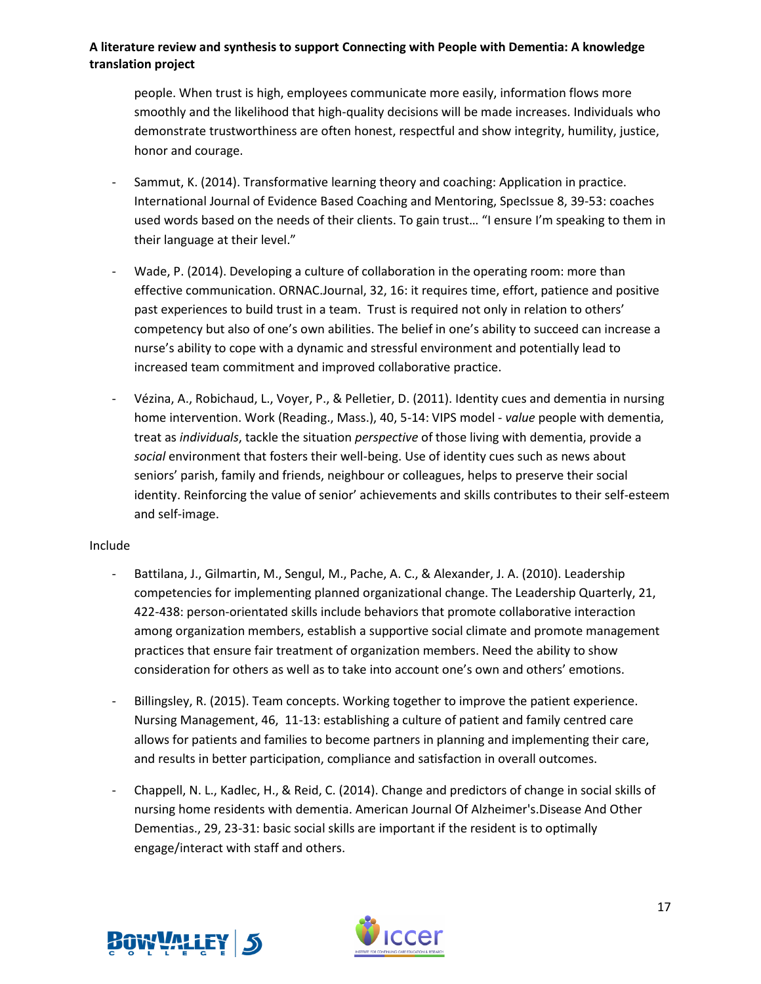people. When trust is high, employees communicate more easily, information flows more smoothly and the likelihood that high-quality decisions will be made increases. Individuals who demonstrate trustworthiness are often honest, respectful and show integrity, humility, justice, honor and courage.

- Sammut, K. (2014). Transformative learning theory and coaching: Application in practice. International Journal of Evidence Based Coaching and Mentoring, SpecIssue 8, 39-53: coaches used words based on the needs of their clients. To gain trust… "I ensure I'm speaking to them in their language at their level."
- Wade, P. (2014). Developing a culture of collaboration in the operating room: more than effective communication. ORNAC.Journal, 32, 16: it requires time, effort, patience and positive past experiences to build trust in a team. Trust is required not only in relation to others' competency but also of one's own abilities. The belief in one's ability to succeed can increase a nurse's ability to cope with a dynamic and stressful environment and potentially lead to increased team commitment and improved collaborative practice.
- Vézina, A., Robichaud, L., Voyer, P., & Pelletier, D. (2011). Identity cues and dementia in nursing home intervention. Work (Reading., Mass.), 40, 5-14: VIPS model - *value* people with dementia, treat as *individuals*, tackle the situation *perspective* of those living with dementia, provide a *social* environment that fosters their well-being. Use of identity cues such as news about seniors' parish, family and friends, neighbour or colleagues, helps to preserve their social identity. Reinforcing the value of senior' achievements and skills contributes to their self-esteem and self-image.

#### Include

- Battilana, J., Gilmartin, M., Sengul, M., Pache, A. C., & Alexander, J. A. (2010). Leadership competencies for implementing planned organizational change. The Leadership Quarterly, 21, 422-438: person-orientated skills include behaviors that promote collaborative interaction among organization members, establish a supportive social climate and promote management practices that ensure fair treatment of organization members. Need the ability to show consideration for others as well as to take into account one's own and others' emotions.
- Billingsley, R. (2015). Team concepts. Working together to improve the patient experience. Nursing Management, 46, 11-13: establishing a culture of patient and family centred care allows for patients and families to become partners in planning and implementing their care, and results in better participation, compliance and satisfaction in overall outcomes.
- Chappell, N. L., Kadlec, H., & Reid, C. (2014). Change and predictors of change in social skills of nursing home residents with dementia. American Journal Of Alzheimer's.Disease And Other Dementias., 29, 23-31: basic social skills are important if the resident is to optimally engage/interact with staff and others.



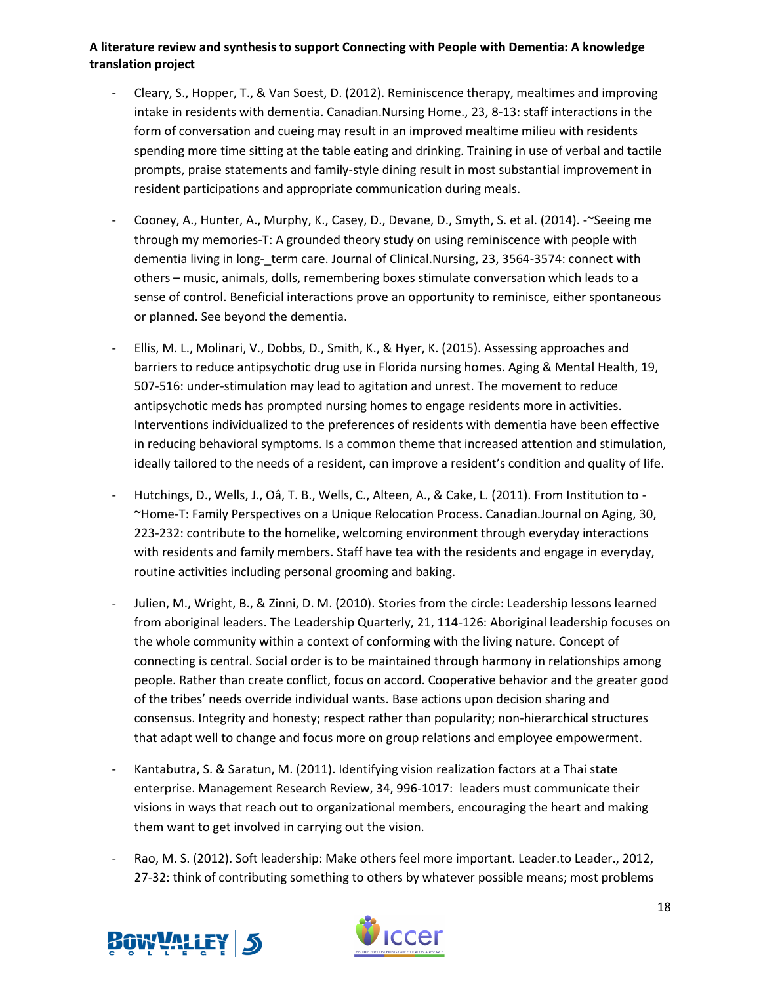- Cleary, S., Hopper, T., & Van Soest, D. (2012). Reminiscence therapy, mealtimes and improving intake in residents with dementia. Canadian.Nursing Home., 23, 8-13: staff interactions in the form of conversation and cueing may result in an improved mealtime milieu with residents spending more time sitting at the table eating and drinking. Training in use of verbal and tactile prompts, praise statements and family-style dining result in most substantial improvement in resident participations and appropriate communication during meals.
- Cooney, A., Hunter, A., Murphy, K., Casey, D., Devane, D., Smyth, S. et al. (2014). -~Seeing me through my memories-T: A grounded theory study on using reminiscence with people with dementia living in long-\_term care. Journal of Clinical.Nursing, 23, 3564-3574: connect with others – music, animals, dolls, remembering boxes stimulate conversation which leads to a sense of control. Beneficial interactions prove an opportunity to reminisce, either spontaneous or planned. See beyond the dementia.
- Ellis, M. L., Molinari, V., Dobbs, D., Smith, K., & Hyer, K. (2015). Assessing approaches and barriers to reduce antipsychotic drug use in Florida nursing homes. Aging & Mental Health, 19, 507-516: under-stimulation may lead to agitation and unrest. The movement to reduce antipsychotic meds has prompted nursing homes to engage residents more in activities. Interventions individualized to the preferences of residents with dementia have been effective in reducing behavioral symptoms. Is a common theme that increased attention and stimulation, ideally tailored to the needs of a resident, can improve a resident's condition and quality of life.
- Hutchings, D., Wells, J., Oâ, T. B., Wells, C., Alteen, A., & Cake, L. (2011). From Institution to -~Home-T: Family Perspectives on a Unique Relocation Process. Canadian.Journal on Aging, 30, 223-232: contribute to the homelike, welcoming environment through everyday interactions with residents and family members. Staff have tea with the residents and engage in everyday, routine activities including personal grooming and baking.
- Julien, M., Wright, B., & Zinni, D. M. (2010). Stories from the circle: Leadership lessons learned from aboriginal leaders. The Leadership Quarterly, 21, 114-126: Aboriginal leadership focuses on the whole community within a context of conforming with the living nature. Concept of connecting is central. Social order is to be maintained through harmony in relationships among people. Rather than create conflict, focus on accord. Cooperative behavior and the greater good of the tribes' needs override individual wants. Base actions upon decision sharing and consensus. Integrity and honesty; respect rather than popularity; non-hierarchical structures that adapt well to change and focus more on group relations and employee empowerment.
- Kantabutra, S. & Saratun, M. (2011). Identifying vision realization factors at a Thai state enterprise. Management Research Review, 34, 996-1017: leaders must communicate their visions in ways that reach out to organizational members, encouraging the heart and making them want to get involved in carrying out the vision.
- Rao, M. S. (2012). Soft leadership: Make others feel more important. Leader.to Leader., 2012, 27-32: think of contributing something to others by whatever possible means; most problems